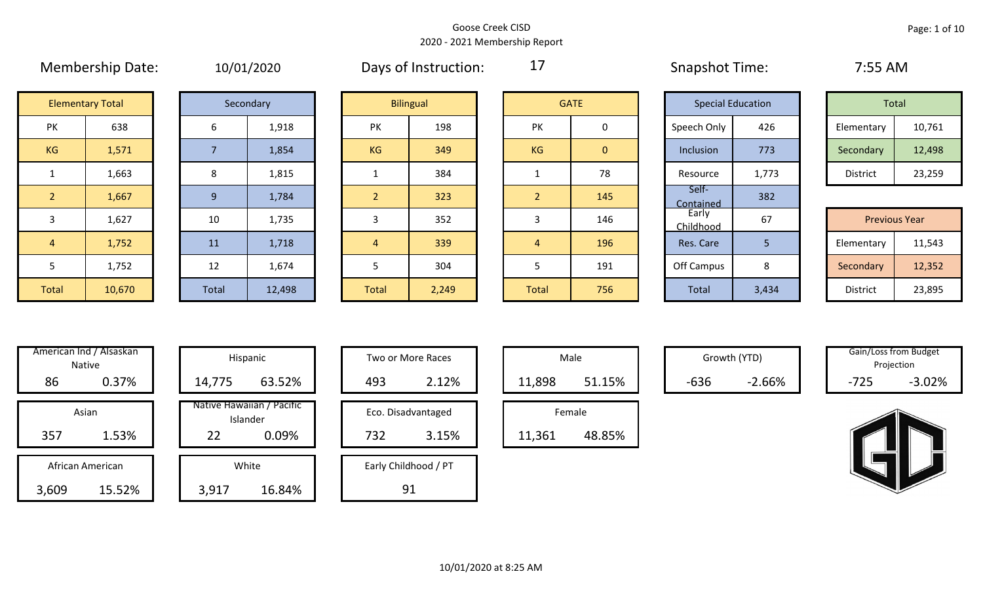|                | <b>IVICITINGIJIIIN DULLE</b> |       | 10/01/2020 |                | <b>DUYS OF HISLI UCLIOII.</b> |             |                |                          | <b>UNDURITY LITTLE.</b> |       | 7.JJ7.VIVI           |        |
|----------------|------------------------------|-------|------------|----------------|-------------------------------|-------------|----------------|--------------------------|-------------------------|-------|----------------------|--------|
|                | <b>Elementary Total</b>      |       | Secondary  |                | <b>Bilingual</b>              | <b>GATE</b> |                | <b>Special Education</b> |                         | Total |                      |        |
| PK             | 638                          | 6     | 1,918      | <b>PK</b>      | 198                           |             | PK             | $\mathbf 0$              | Speech Only             | 426   | Elementary           | 10,761 |
| KG             | 1,571                        |       | 1,854      | KG             | 349                           |             | KG             | $\overline{0}$           | Inclusion               | 773   | Secondary            | 12,498 |
| $\mathbf{1}$   | 1,663                        | 8     | 1,815      |                | 384                           |             | 1              | 78                       | Resource                | 1,773 | District             | 23,259 |
| 2 <sup>2</sup> | 1,667                        | 9     | 1,784      | $\overline{2}$ | 323                           |             | 2 <sup>1</sup> | 145                      | Self-<br>Contained      | 382   |                      |        |
| 3              | 1,627                        | 10    | 1,735      | 3              | 352                           |             | 3              | 146                      | Early<br>Childhood      | 67    | <b>Previous Year</b> |        |
| $\overline{4}$ | 1,752                        | 11    | 1,718      | $\overline{4}$ | 339                           |             | $\overline{4}$ | 196                      | Res. Care               | 5     | Elementary           | 11,543 |
| 5              | 1,752                        | 12    | 1,674      | 5              | 304                           |             |                | 191                      | Off Campus              | 8     | Secondary            | 12,352 |
| Total          | 10,670                       | Total | 12,498     | <b>Total</b>   | 2,249                         |             | Total          | 756                      | Total                   | 3,434 | District             | 23,895 |

Membership Date: 10/01/2020 Snapshot Time: 7:55 AM Days of Instruction:

17

|                     | <b>Elementary Total</b> |  | Secondary |           | <b>Bilingual</b> |           | <b>GATE</b> |  | <b>Special Education</b> |       |            | Total  |
|---------------------|-------------------------|--|-----------|-----------|------------------|-----------|-------------|--|--------------------------|-------|------------|--------|
| NZ.<br>$\mathbf{N}$ | 638                     |  | 1,918     | PK        | 198              | PK        |             |  | Speech Only              | 426   | Elementary | 10,761 |
| G                   | 1,571                   |  | 1,854     | <b>KG</b> | 349              | <b>KG</b> | 0           |  | Inclusion                | 773   | Secondary  | 12,498 |
|                     | 1,663                   |  | 1,815     |           | 384              |           | 78          |  | Resource                 | 1,773 | District   | 23,259 |

|                 | <b>Previous Year</b> |
|-----------------|----------------------|
| Elementary      | 11,543               |
| Secondary       | 12,352               |
| <b>District</b> | 23,895               |

| 3                       | 1,627  |
|-------------------------|--------|
| 4                       | 1,752  |
| 5                       | 1,752  |
| <b>Total</b>            | 10,670 |
|                         |        |
|                         |        |
| American Ind / Alsaskan |        |
|                         | Native |
|                         |        |

|       | American Ind / Alsaskan<br><b>Native</b> |        | Hispanic                              |
|-------|------------------------------------------|--------|---------------------------------------|
| 86    | 0.37%                                    | 14,775 | 63.52%                                |
|       | Asian                                    |        | Native Hawaiian / Pacific<br>Islander |
| 357   | 1.53%                                    | 22     | 0.09%                                 |
|       | African American                         |        | White                                 |
| 3,609 | 15.52%                                   | 3,917  | 16.84%                                |

|      | merican Ind / Alsaskan<br>Native |        | Hispanic                              |     | Two or More Races    |        | Male   |        | Growth (YTD) | Gain/Loss from Budget<br>Projection |          |
|------|----------------------------------|--------|---------------------------------------|-----|----------------------|--------|--------|--------|--------------|-------------------------------------|----------|
| 86   | 0.37%                            | 14,775 | 63.52%                                | 493 | 2.12%                | 11,898 | 51.15% | $-636$ | $-2.66%$     | $-725$                              | $-3.02%$ |
|      | Asian                            |        | Native Hawaiian / Pacific<br>Islander |     | Eco. Disadvantaged   |        | Female |        |              |                                     |          |
| 357  | 1.53%                            | 22     | 0.09%                                 | 732 | 3.15%                | 11,361 | 48.85% |        |              |                                     |          |
|      | African American                 |        | White                                 |     | Early Childhood / PT |        |        |        |              |                                     |          |
| ,609 | 15.52%                           | 3,917  | 16.84%                                |     | 91                   |        |        |        |              |                                     |          |

| Hispanic                       | Two or More Races    | Male   |
|--------------------------------|----------------------|--------|
| 63.52%                         | 2.12%<br>493         | 11,898 |
| lawaiian / Pacific<br>Islander | Eco. Disadvantaged   | Female |
| 0.09%                          | 3.15%<br>732         | 11,361 |
| White                          | Early Childhood / PT |        |
| 16.84%                         |                      |        |

|        | Male   |  |
|--------|--------|--|
| 11,898 | 51.15% |  |
|        |        |  |
|        | Female |  |

Growth (YTD) Gain/Loss from Budget Projection

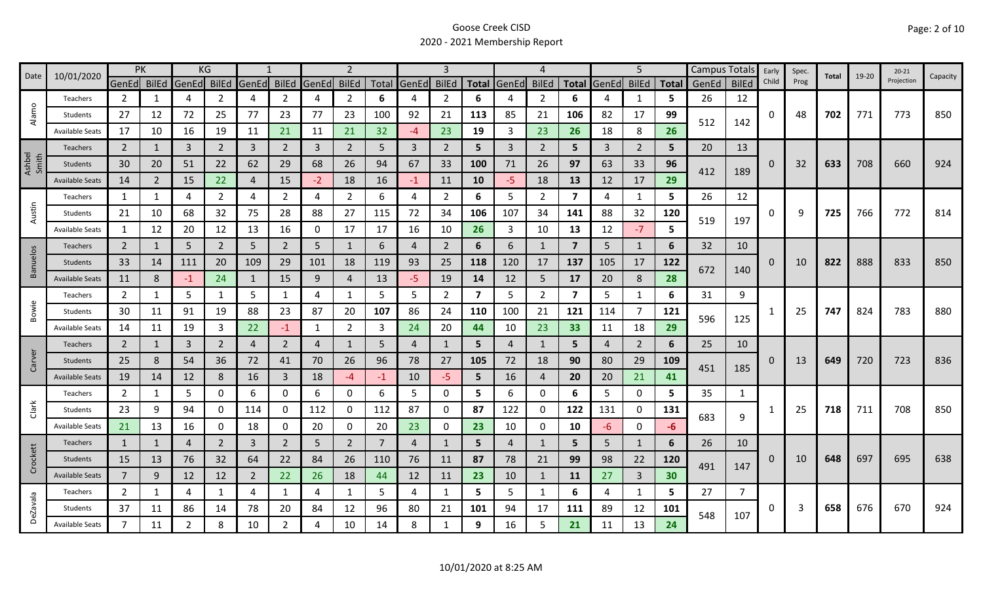|                 | 10/01/2020             |                | PK  |                | KG             |                |                |       | 2              |      |             |                |                         |       | 4              |                         |       | 5              |                 | <b>Campus Totals</b> |              | Early | Spec. | Total | 19-20 | $20 - 21$  | Capacity |
|-----------------|------------------------|----------------|-----|----------------|----------------|----------------|----------------|-------|----------------|------|-------------|----------------|-------------------------|-------|----------------|-------------------------|-------|----------------|-----------------|----------------------|--------------|-------|-------|-------|-------|------------|----------|
| Date            |                        | GenEd BilEd    |     | GenEd BilEd    |                | GenEd          | <b>BilEd</b>   | GenEd | <b>BilEd</b>   |      | Total GenEd | <b>BilEd</b>   | <b>Total</b>            | GenEd | <b>BilEd</b>   | <b>Total</b>            | GenEd | <b>BilEd</b>   | <b>Total</b>    | GenEd                | <b>BilEd</b> | Child | Prog  |       |       | Projection |          |
|                 | Teachers               | 2              | 1   | 4              | 2              | 4              | $\overline{2}$ | 4     | $\overline{2}$ | 6    | 4           | 2              | 6                       |       | 2              | 6                       |       | 1              | 5.              | 26                   | 12           |       |       |       |       |            |          |
| Alamo           | Students               | 27             | 12  | 72             | 25             | 77             | 23             | 77    | 23             | 100  | 92          | 21             | 113                     | 85    | 21             | 106                     | 82    | 17             | 99              | 512                  | 142          | 0     | 48    | 702   | 771   | 773        | 850      |
|                 | <b>Available Seats</b> | 17             | 10  | 16             | 19             | 11             | 21             | 11    | 21             | 32   | $-4$        | 23             | 19                      | 3     | 23             | 26                      | 18    | 8              | 26              |                      |              |       |       |       |       |            |          |
|                 | <b>Teachers</b>        | $\overline{2}$ |     | 3              | $\overline{2}$ | $\overline{3}$ | $\overline{2}$ | 3     | $\overline{2}$ | 5    | 3           | $\overline{2}$ | 5                       | 3     | 2              | 5 <sub>1</sub>          | 3     | $\overline{2}$ | 5               | 20                   | 13           |       |       |       |       |            |          |
| Ashbel<br>Smith | Students               | 30             | 20  | 51             | 22             | 62             | 29             | 68    | 26             | 94   | 67          | 33             | 100                     | 71    | 26             | 97                      | 63    | 33             | 96              | 412                  | 189          | 0     | 32    | 633   | 708   | 660        | 924      |
|                 | <b>Available Seats</b> | 14             | 2   | 15             | 22             | 4              | 15             | $-2$  | 18             | 16   | $-1$        | 11             | 10                      | $-5$  | 18             | 13                      | 12    | 17             | 29              |                      |              |       |       |       |       |            |          |
|                 | Teachers               | 1              | 1   | 4              | $\overline{2}$ | 4              | $\overline{2}$ | 4     | 2              | 6    | 4           | $\overline{2}$ | 6                       | 5     | $\overline{2}$ | $\overline{\mathbf{z}}$ | 4     | $\mathbf{1}$   | 5.              | 26                   | 12           |       |       |       |       |            |          |
| Austin          | Students               | 21             | 10  | 68             | 32             | 75             | 28             | 88    | 27             | 115  | 72          | 34             | 106                     | 107   | 34             | 141                     | 88    | 32             | 120             | 519                  | 197          | 0     | 9     | 725   | 766   | 772        | 814      |
|                 | <b>Available Seats</b> | 1              | 12  | 20             | 12             | 13             | 16             | 0     | 17             | 17   | 16          | 10             | 26                      | 3     | 10             | 13                      | 12    | $-7$           | 5               |                      |              |       |       |       |       |            |          |
|                 | Teachers               | $\overline{2}$ | 1   | 5              | $\overline{2}$ | 5              | $\overline{2}$ | 5     | $\mathbf{1}$   | 6    | 4           | $\overline{2}$ | 6                       | 6     | $\mathbf{1}$   | $\overline{7}$          | 5     | $\mathbf{1}$   | 6               | 32                   | 10           |       |       |       |       |            |          |
| <b>Banuelos</b> | Students               | 33             | 14  | 111            | 20             | 109            | 29             | 101   | 18             | 119  | 93          | 25             | 118                     | 120   | 17             | 137                     | 105   | 17             | 122             |                      |              | 0     | 10    | 822   | 888   | 833        | 850      |
|                 | <b>Available Seats</b> | 11             | 8   | $-1$           | 24             | -1             | 15             | 9     | $\overline{4}$ | 13   | $-5$        | 19             | 14                      | 12    | 5              | 17                      | 20    | 8              | 28              | 672                  | 140          |       |       |       |       |            |          |
|                 | Teachers               | $\overline{2}$ | 1   | 5              | $\mathbf{1}$   | 5              | 1              | 4     | 1              | 5    | 5           | $\overline{2}$ | $\overline{\mathbf{z}}$ | 5     | 2              | $\overline{\mathbf{z}}$ | 5     | 1              | 6               | 31                   | 9            |       |       |       |       |            |          |
| Bowie           | Students               | 30             | 11  | 91             | 19             | 88             | 23             | 87    | 20             | 107  | 86          | 24             | 110                     | 100   | 21             | 121                     | 114   | $\overline{7}$ | 121             |                      |              |       | 25    | 747   | 824   | 783        | 880      |
|                 | <b>Available Seats</b> | 14             | 11  | 19             | 3              | 22             | $-1$           | 1     | $\overline{2}$ | 3    | 24          | 20             | 44                      | 10    | 23             | 33                      | 11    | 18             | 29              | 596                  | 125          |       |       |       |       |            |          |
|                 | <b>Teachers</b>        | $\overline{2}$ | 1   | 3              | $\overline{2}$ | $\overline{4}$ | $\overline{2}$ | 4     | 1              | .5   | 4           |                | 5                       | 4     | $\mathbf{1}$   | 5                       | 4     | $\overline{2}$ | 6               | 25                   | 10           |       |       |       |       |            |          |
| Carver          | Students               | 25             | 8   | 54             | 36             | 72             | 41             | 70    | 26             | 96   | 78          | 27             | 105                     | 72    | 18             | 90                      | 80    | 29             | 109             |                      |              |       | 13    | 649   | 720   | 723        | 836      |
|                 | <b>Available Seats</b> | 19             | 14  | 12             | 8              | 16             | $\mathbf{3}$   | 18    | $-4$           | $-1$ | 10          | $-5$           | 5                       | 16    | 4              | 20                      | 20    | 21             | 41              | 451                  | 185          |       |       |       |       |            |          |
|                 | Teachers               | $\overline{2}$ | 1   | 5              | 0              | 6              | 0              | 6     | 0              | 6    | 5           | 0              | 5                       | 6     | 0              | 6                       | 5     | 0              | 5               | 35                   | 1            |       |       |       |       |            |          |
| Clark           | Students               | 23             | 9   | 94             | 0              | 114            | 0              | 112   | 0              | 112  | 87          | 0              | 87                      | 122   | 0              | 122                     | 131   | 0              | 131             | 683                  | 9            |       | 25    | 718   | 711   | 708        | 850      |
|                 | <b>Available Seats</b> | 21             | 13  | 16             | 0              | 18             | 0              | 20    | 0              | 20   | 23          | 0              | 23                      | 10    | 0              | 10                      | -6    | $\mathbf 0$    | -6              |                      |              |       |       |       |       |            |          |
|                 | Teachers               | 1              | 1   | 4              | 2              | 3              | $\overline{2}$ | 5     | $\overline{2}$ | 7    | 4           |                | 5                       | 4     | 1              | 5                       | 5     | $\mathbf{1}$   | 6               | 26                   | 10           |       |       |       |       |            |          |
| Crockett        | Students               | 15             | 13  | 76             | 32             | 64             | 22             | 84    | 26             | 110  | 76          | 11             | 87                      | 78    | 21             | 99                      | 98    | 22             | 120             | 491                  | 147          | 0     | 10    | 648   | 697   | 695        | 638      |
|                 | <b>Available Seats</b> | $\overline{7}$ | 9   | 12             | 12             | 2              | 22             | 26    | 18             | 44   | 12          | 11             | 23                      | 10    | $\mathbf{1}$   | 11                      | 27    | $\overline{3}$ | 30 <sub>o</sub> |                      |              |       |       |       |       |            |          |
|                 | Teachers               | $\overline{2}$ | 1   | 4              | 1              | 4              | $\mathbf{1}$   | 4     | 1              | 5    | 4           | 1              | 5                       | 5     | -1             | 6                       | 4     | 1              | 5               | 27                   | 7            |       |       |       |       |            |          |
| <b>DeZavala</b> | Students               | 37             | -11 | 86             | 14             | 78             | 20             | 84    | 12             | 96   | 80          | 21             | 101                     | 94    | 17             | 111                     | 89    | 12             | 101             | 548                  | 107          | 0     | 3     | 658   | 676   | 670        | 924      |
|                 | <b>Available Seats</b> | $\overline{7}$ | 11  | $\overline{2}$ | 8              | 10             | $\overline{2}$ |       | 10             | 14   | 8           |                | 9                       | 16    | 5              | 21                      | 11    | 13             | 24              |                      |              |       |       |       |       |            |          |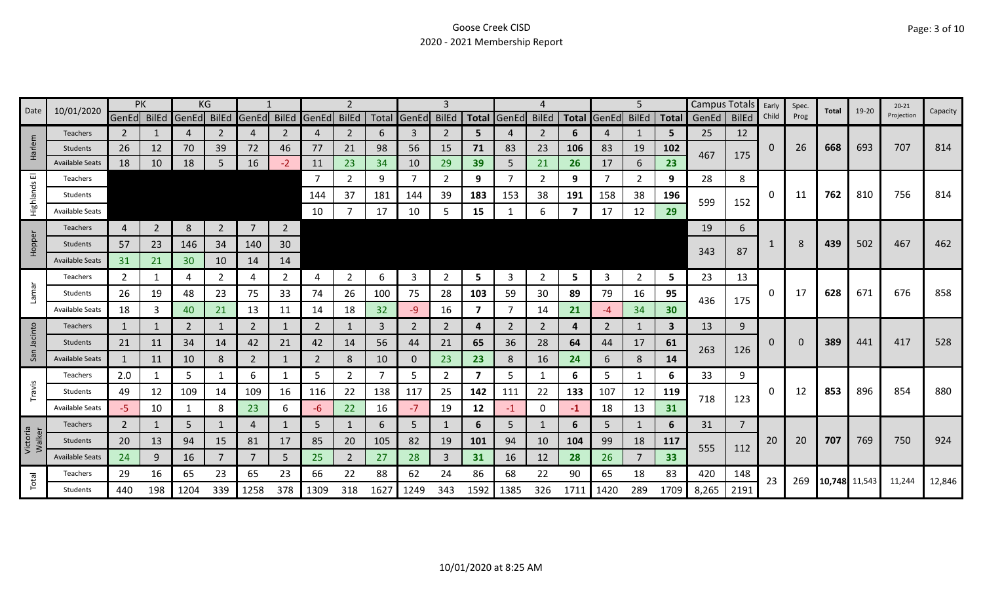| Date               | 10/01/2020             | PK             |                |       | KG             |                |                |             |                |     |              | 3              |                         |             |              |      |                   | 5              |      | Campus Totals |                | Early       | Spec. | Total         | 19-20 | $20 - 21$  | Capacity |
|--------------------|------------------------|----------------|----------------|-------|----------------|----------------|----------------|-------------|----------------|-----|--------------|----------------|-------------------------|-------------|--------------|------|-------------------|----------------|------|---------------|----------------|-------------|-------|---------------|-------|------------|----------|
|                    |                        | GenEd BilEd    |                | GenEd | BilEd          | GenEd          | <b>BilEd</b>   | GenEd BilEd |                |     | Total GenEd  | <b>BilEd</b>   |                         | Total GenEd | <b>BilEd</b> |      | Total GenEd BilEd |                |      | Total GenEd   | <b>BilEd</b>   | Child       | Prog  |               |       | Projection |          |
|                    | <b>Teachers</b>        | $\mathbf{2}$   |                | 4     | 2              | 4              | 2              | 4           | $\overline{2}$ | 6   | 3            | 2              | 5.                      |             | 2            | 6    | 4                 |                | 5    | 25            | 12             |             |       |               |       |            |          |
| Harlem             | Students               | 26             | 12             | 70    | 39             | 72             | 46             | 77          | 21             | 98  | 56           | 15             | 71                      | 83          | 23           | 106  | 83                | 19             | 102  | 467           | 175            | 0           | 26    | 668           | 693   | 707        | 814      |
|                    | <b>Available Seats</b> | 18             | 10             | 18    | 5              | 16             | $-2$           | 11          | 23             | 34  | 10           | 29             | 39                      | 5           | 21           | 26   | 17                | 6              | 23   |               |                |             |       |               |       |            |          |
| ш                  | Teachers               |                |                |       |                |                |                | -7          | $\mathbf{2}$   | 9   | 7            | 2              | 9                       |             | 2            | 9    | -7                | $\overline{2}$ | 9    | 28            | 8              |             |       |               |       |            |          |
| Highlands          | Students               |                |                |       |                |                |                | 144         | 37             | 181 | 144          | 39             | 183                     | 153         | 38           | 191  | 158               | 38             | 196  | 599           | 152            | 0           | 11    | 762           | 810   | 756        | 814      |
|                    | <b>Available Seats</b> |                |                |       |                |                |                | 10          |                | 17  | 10           | 5              | 15                      |             | 6            |      | 17                | 12             | 29   |               |                |             |       |               |       |            |          |
|                    | Teachers               | 4              | $\overline{2}$ | 8     | $\overline{2}$ | $\overline{7}$ | $\overline{2}$ |             |                |     |              |                |                         |             |              |      |                   |                |      | 19            | 6              |             |       |               |       |            |          |
| Hopper             | Students               | 57             | 23             | 146   | 34             | 140            | 30             |             |                |     |              |                |                         |             |              |      |                   |                |      |               |                |             | 8     | 439           | 502   | 467        | 462      |
|                    | <b>Available Seats</b> | 31             | 21             | 30    | 10             | 14             | 14             |             |                |     |              |                |                         |             |              |      |                   |                |      | 343           | 87             |             |       |               |       |            |          |
|                    | Teachers               | 2              | 1              | 4     | 2              | 4              | $\overline{2}$ | 4           | $\overline{2}$ | 6   | 3            | 2              | 5                       | 3           | 2            | 5    | 3                 | $\overline{2}$ | 5    | 23            | 13             |             |       |               |       |            |          |
| <b>Lamar</b>       | Students               | 26             | 19             | 48    | 23             | 75             | 33             | 74          | 26             | 100 | 75           | 28             | 103                     | 59          | 30           | 89   | 79                | 16             | 95   |               |                | 0           | 17    | 628           | 671   | 676        | 858      |
|                    | <b>Available Seats</b> | 18             | 3              | 40    | 21             | 13             | 11             | 14          | 18             | 32  | $-9$         | 16             | 7                       |             | 14           | 21   | -4                | 34             | 30   | 436           | 175            |             |       |               |       |            |          |
|                    | <b>Teachers</b>        | 1              | 1              | 2     | 1              | 2              | 1              | 2           | $\mathbf{1}$   | 3   | 2            | $\overline{2}$ | 4                       | 2           | 2            | 4    | 2                 | 1              | 3    | 13            | 9              |             |       |               |       |            |          |
| Jacinto            | Students               | 21             | 11             | 34    | 14             | 42             | 21             | 42          | 14             | 56  | 44           | 21             | 65                      | 36          | 28           | 64   | 44                | 17             | 61   |               |                | $\mathbf 0$ | 0     | 389           | 441   | 417        | 528      |
| San                | <b>Available Seats</b> | 1              | 11             | 10    | 8              | $\overline{2}$ | 1              | 2           | 8              | 10  | $\mathbf{0}$ | 23             | 23                      | 8           | 16           | 24   | 6                 | 8              | 14   | 263           | 126            |             |       |               |       |            |          |
|                    | Teachers               | 2.0            | 1              | 5     |                | 6              | 1              | 5           | $\overline{2}$ | 7   | 5            | 2              | $\overline{\mathbf{z}}$ | 5           |              | 6    | 5                 | 1              | 6    | 33            | 9              |             |       |               |       |            |          |
| Travis             | Students               | 49             | 12             | 109   | 14             | 109            | 16             | 116         | 22             | 138 | 117          | 25             | 142                     | 111         | 22           | 133  | 107               | 12             | 119  |               |                | 0           | 12    | 853           | 896   | 854        | 880      |
|                    | <b>Available Seats</b> | -5             | 10             |       | 8              | 23             | 6              | -6          | 22             | 16  | $-7$         | 19             | 12                      | $-1$        | $\mathbf 0$  | -1   | 18                | 13             | 31   | 718           | 123            |             |       |               |       |            |          |
|                    | Teachers               | $\overline{2}$ | 1              | 5     |                | 4              |                | 5           | $\mathbf{1}$   | 6   | 5            |                | 6                       | 5           | 1            | 6    | 5                 | 1              | 6    | 31            | $\overline{7}$ |             |       |               |       |            |          |
| Victoria<br>Walker | Students               | 20             | 13             | 94    | 15             | 81             | 17             | 85          | 20             | 105 | 82           | 19             | 101                     | 94          | 10           | 104  | 99                | 18             | 117  |               |                | 20          | 20    | 707           | 769   | 750        | 924      |
|                    | <b>Available Seats</b> | 24             | 9              | 16    |                |                | 5              | 25          | $\overline{2}$ | 27  | 28           | 3              | 31                      | 16          | 12           | 28   | 26                | 7              | 33   | 555           | 112            |             |       |               |       |            |          |
|                    | Teachers               | 29             | 16             | 65    | 23             | 65             | 23             | 66          | 22             | 88  | 62           | 24             | 86                      | 68          | 22           | 90   | 65                | 18             | 83   | 420           | 148            |             |       |               |       |            |          |
| Total              | Students               | 440            | 198            | 1204  | 339            | 1258           | 378            | 1309        | 318            | 162 | 1249         | 343            | 1592                    | 1385        | 326          | 1711 | 1420              | 289            | 1709 | 8,265         | 2191           | 23          | 269   | 10,748 11,543 |       | 11,244     | 12,846   |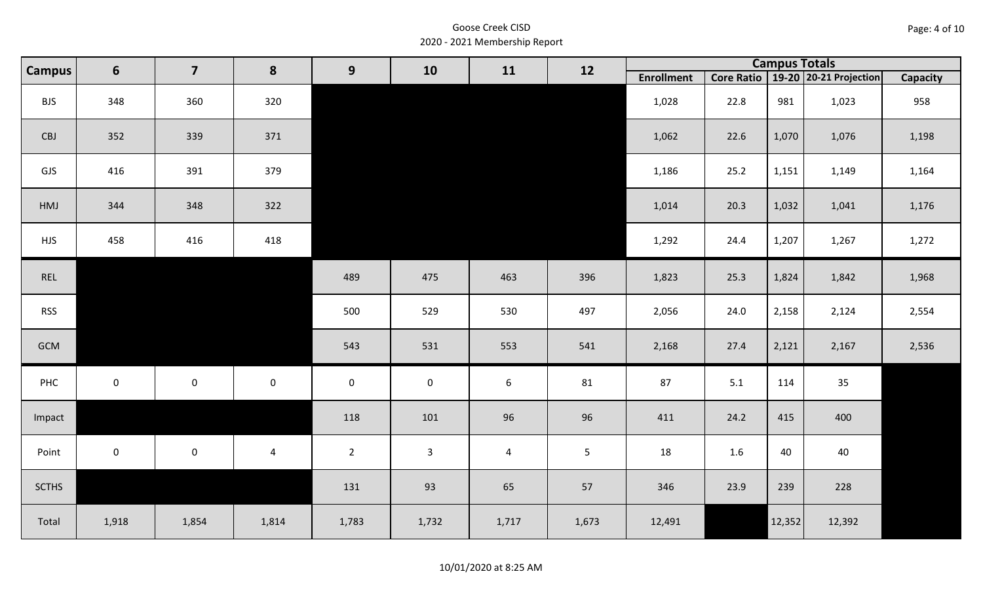| Page: 4 of 10 |  |  |  |
|---------------|--|--|--|
|---------------|--|--|--|

| <b>Campus</b> | $6\phantom{1}$ | $\overline{\mathbf{z}}$ | 8              | 9                   | 10           | 11    | 12             |                   |      |        | <b>Campus Totals</b>                  |                 |
|---------------|----------------|-------------------------|----------------|---------------------|--------------|-------|----------------|-------------------|------|--------|---------------------------------------|-----------------|
|               |                |                         |                |                     |              |       |                | <b>Enrollment</b> |      |        | Core Ratio   19-20   20-21 Projection | <b>Capacity</b> |
| <b>BJS</b>    | 348            | 360                     | 320            |                     |              |       |                | 1,028             | 22.8 | 981    | 1,023                                 | 958             |
| CBJ           | 352            | 339                     | 371            |                     |              |       |                | 1,062             | 22.6 | 1,070  | 1,076                                 | 1,198           |
| GJS           | 416            | 391                     | 379            |                     |              |       |                | 1,186             | 25.2 | 1,151  | 1,149                                 | 1,164           |
| HMJ           | 344            | 348                     | 322            |                     |              |       |                | 1,014             | 20.3 | 1,032  | 1,041                                 | 1,176           |
| <b>HJS</b>    | 458            | 416                     | 418            |                     |              |       |                | 1,292             | 24.4 | 1,207  | 1,267                                 | 1,272           |
| REL           |                |                         |                | 489                 | 475          | 463   | 396            | 1,823             | 25.3 | 1,824  | 1,842                                 | 1,968           |
| <b>RSS</b>    |                |                         |                | 500                 | 529          | 530   | 497            | 2,056             | 24.0 | 2,158  | 2,124                                 | 2,554           |
| GCM           |                |                         |                | 543                 | 531          | 553   | 541            | 2,168             | 27.4 | 2,121  | 2,167                                 | 2,536           |
| PHC           | $\mathbf 0$    | $\mathbf 0$             | $\mathsf 0$    | $\mathsf{O}\xspace$ | $\mathbf 0$  | $6\,$ | 81             | 87                | 5.1  | 114    | 35                                    |                 |
| Impact        |                |                         |                | 118                 | 101          | 96    | 96             | 411               | 24.2 | 415    | 400                                   |                 |
| Point         | $\mathbf 0$    | $\mathbf 0$             | $\overline{4}$ | $\overline{2}$      | $\mathbf{3}$ | 4     | 5 <sup>1</sup> | 18                | 1.6  | 40     | 40                                    |                 |
| <b>SCTHS</b>  |                |                         |                | 131                 | 93           | 65    | 57             | 346               | 23.9 | 239    | 228                                   |                 |
| Total         | 1,918          | 1,854                   | 1,814          | 1,783               | 1,732        | 1,717 | 1,673          | 12,491            |      | 12,352 | 12,392                                |                 |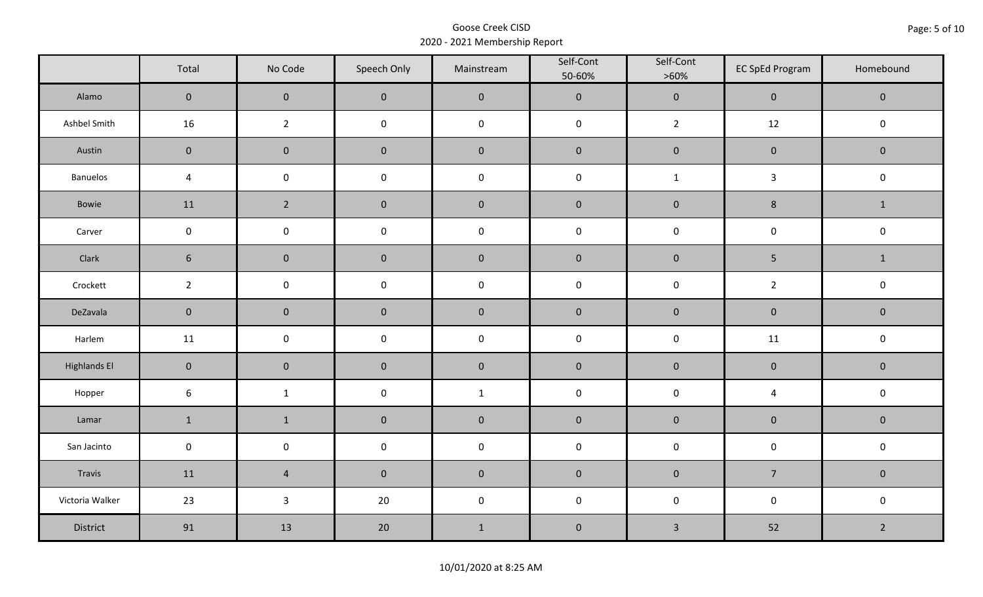|                     | Total               | No Code             | Speech Only         | Mainstream  | Self-Cont<br>50-60% | Self-Cont<br>$>60\%$ | <b>EC SpEd Program</b>  | Homebound      |
|---------------------|---------------------|---------------------|---------------------|-------------|---------------------|----------------------|-------------------------|----------------|
| Alamo               | $\overline{0}$      | $\mathbf 0$         | $\mathbf{0}$        | $\pmb{0}$   | $\pmb{0}$           | $\pmb{0}$            | $\mathbf 0$             | $\mathbf 0$    |
| Ashbel Smith        | 16                  | $\overline{2}$      | $\mathsf 0$         | $\pmb{0}$   | $\pmb{0}$           | $\overline{2}$       | 12                      | $\mathbf 0$    |
| Austin              | $\mathbf 0$         | $\mathbf 0$         | $\mathbf 0$         | $\pmb{0}$   | $\pmb{0}$           | $\pmb{0}$            | $\pmb{0}$               | $\mathbf 0$    |
| Banuelos            | $\sqrt{4}$          | $\mathsf{O}\xspace$ | $\pmb{0}$           | $\pmb{0}$   | $\pmb{0}$           | $\mathbf 1$          | $\mathbf{3}$            | $\pmb{0}$      |
| Bowie               | 11                  | $2^{\circ}$         | $\mathbf{0}$        | $\mathbf 0$ | $\mathbf 0$         | $\mathbf 0$          | 8                       | $\mathbf{1}$   |
| Carver              | $\mathbf 0$         | $\pmb{0}$           | $\pmb{0}$           | $\pmb{0}$   | $\pmb{0}$           | $\pmb{0}$            | $\pmb{0}$               | $\pmb{0}$      |
| Clark               | $6\phantom{1}$      | $\mathbf 0$         | $\mathbf 0$         | $\pmb{0}$   | $\pmb{0}$           | $\pmb{0}$            | $\overline{5}$          | $\mathbf{1}$   |
| Crockett            | $\overline{2}$      | $\mathsf 0$         | $\pmb{0}$           | $\pmb{0}$   | $\mathsf 0$         | $\pmb{0}$            | $\overline{2}$          | $\pmb{0}$      |
| DeZavala            | $\mathbf 0$         | $\mathbf 0$         | $\mathbf 0$         | $\pmb{0}$   | $\pmb{0}$           | $\pmb{0}$            | $\pmb{0}$               | $\pmb{0}$      |
| Harlem              | 11                  | $\mathsf{O}\xspace$ | $\pmb{0}$           | $\pmb{0}$   | $\pmb{0}$           | $\pmb{0}$            | 11                      | $\pmb{0}$      |
| <b>Highlands El</b> | $\mathbf{0}$        | $\mathbf 0$         | $\mathbf 0$         | $\pmb{0}$   | $\pmb{0}$           | $\pmb{0}$            | $\pmb{0}$               | $\mathbf 0$    |
| Hopper              | $\boldsymbol{6}$    | $\mathbf{1}$        | $\mathsf{O}\xspace$ | $\mathbf 1$ | $\pmb{0}$           | $\pmb{0}$            | $\overline{\mathbf{4}}$ | $\pmb{0}$      |
| Lamar               | $\mathbf 1$         | $\mathbf 1$         | $\mathbf 0$         | $\pmb{0}$   | $\pmb{0}$           | $\pmb{0}$            | $\pmb{0}$               | $\pmb{0}$      |
| San Jacinto         | $\mathsf{O}\xspace$ | $\pmb{0}$           | $\pmb{0}$           | $\pmb{0}$   | $\pmb{0}$           | $\pmb{0}$            | $\pmb{0}$               | $\pmb{0}$      |
| Travis              | 11                  | $\overline{4}$      | $\mathbf 0$         | $\pmb{0}$   | $\pmb{0}$           | $\pmb{0}$            | $\overline{7}$          | $\mathbf 0$    |
| Victoria Walker     | 23                  | $\mathbf{3}$        | 20                  | $\pmb{0}$   | $\pmb{0}$           | $\pmb{0}$            | $\pmb{0}$               | $\pmb{0}$      |
| District            | 91                  | 13                  | 20                  | $\mathbf 1$ | $\pmb{0}$           | $\mathsf{3}$         | 52                      | $\overline{2}$ |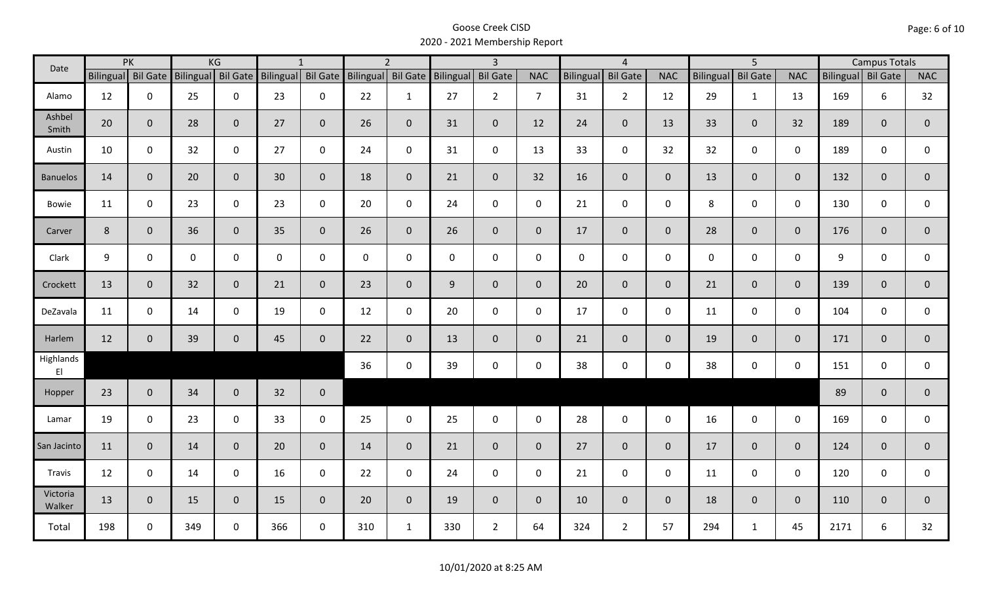| Date               |                    | PK           |              | KG             |              | $\mathbf{1}$                          |              | $\overline{2}$     |             | $\overline{3}$  |                |                  | $\overline{4}$  |                |                  | $\overline{5}$  |                | <b>Campus Totals</b> |              |                |
|--------------------|--------------------|--------------|--------------|----------------|--------------|---------------------------------------|--------------|--------------------|-------------|-----------------|----------------|------------------|-----------------|----------------|------------------|-----------------|----------------|----------------------|--------------|----------------|
|                    | Bilingual Bil Gate |              |              |                |              | Bilingual Bil Gate Bilingual Bil Gate |              | Bilingual Bil Gate | Bilingual   | <b>Bil Gate</b> | <b>NAC</b>     | <b>Bilingual</b> | <b>Bil Gate</b> | <b>NAC</b>     | <b>Bilingual</b> | <b>Bil Gate</b> | <b>NAC</b>     | Bilingual Bil Gate   |              | <b>NAC</b>     |
| Alamo              | 12                 | $\mathbf 0$  | 25           | $\mathbf 0$    | 23           | $\mathbf 0$                           | 22           | $\mathbf{1}$       | 27          | $2^{\circ}$     | $\overline{7}$ | 31               | $2^{\circ}$     | 12             | 29               | $\mathbf{1}$    | 13             | 169                  | 6            | 32             |
| Ashbel<br>Smith    | 20                 | $\mathbf{0}$ | 28           | $\mathbf{0}$   | 27           | $\mathbf 0$                           | 26           | $\overline{0}$     | 31          | $\mathbf{0}$    | 12             | 24               | $\overline{0}$  | 13             | 33               | $\mathbf{0}$    | 32             | 189                  | $\mathbf{0}$ | $\overline{0}$ |
| Austin             | 10                 | $\mathbf 0$  | 32           | $\mathbf 0$    | 27           | $\mathbf 0$                           | 24           | $\mathbf{0}$       | 31          | $\mathbf 0$     | 13             | 33               | $\mathbf 0$     | 32             | 32               | $\mathbf 0$     | $\mathbf 0$    | 189                  | $\mathbf 0$  | $\mathbf 0$    |
| <b>Banuelos</b>    | 14                 | $\mathbf{0}$ | 20           | $\mathbf{0}$   | 30           | $\mathbf{0}$                          | 18           | $\mathbf{0}$       | 21          | $\mathbf 0$     | 32             | 16               | $\overline{0}$  | $\mathbf{0}$   | 13               | $\overline{0}$  | $\overline{0}$ | 132                  | $\mathbf{0}$ | $\overline{0}$ |
| Bowie              | 11                 | $\mathbf 0$  | 23           | $\mathsf 0$    | 23           | $\mathbf 0$                           | 20           | $\mathbf 0$        | 24          | $\mathbf 0$     | $\mathbf 0$    | 21               | $\mathbf 0$     | $\mathbf 0$    | 8                | $\mathbf 0$     | $\mathbf 0$    | 130                  | $\mathbf 0$  | 0              |
| Carver             | 8                  | $\mathbf{0}$ | 36           | $\overline{0}$ | 35           | $\mathbf{0}$                          | 26           | $\mathbf{0}$       | 26          | $\overline{0}$  | $\mathbf{0}$   | 17               | $\overline{0}$  | $\mathbf{0}$   | 28               | $\overline{0}$  | $\overline{0}$ | 176                  | $\mathbf{0}$ | $\overline{0}$ |
| Clark              | 9                  | $\mathbf 0$  | $\mathsf{O}$ | $\mathbf 0$    | $\mathsf{O}$ | $\mathbf 0$                           | $\mathbf{0}$ | $\mathbf 0$        | $\mathbf 0$ | $\mathbf 0$     | $\mathbf 0$    | $\mathbf{0}$     | $\mathbf 0$     | $\mathbf 0$    | $\mathbf 0$      | $\mathbf 0$     | $\mathbf 0$    | 9                    | $\mathbf 0$  | $\mathbf 0$    |
| Crockett           | 13                 | $\mathbf{0}$ | 32           | $\mathbf{0}$   | 21           | $\mathbf{0}$                          | 23           | $\overline{0}$     | 9           | $\mathbf 0$     | $\mathbf{0}$   | 20               | $\overline{0}$  | $\overline{0}$ | 21               | $\mathbf{0}$    | $\overline{0}$ | 139                  | $\mathbf{0}$ | $\mathbf{0}$   |
| DeZavala           | 11                 | $\mathbf 0$  | 14           | $\mathsf 0$    | 19           | $\mathbf 0$                           | 12           | $\mathbf{0}$       | 20          | $\mathbf 0$     | $\mathbf 0$    | 17               | $\mathbf 0$     | $\mathbf 0$    | 11               | $\mathbf 0$     | $\mathbf 0$    | 104                  | $\mathbf 0$  | 0              |
| Harlem             | 12                 | $\mathbf 0$  | 39           | $\overline{0}$ | 45           | $\mathbf 0$                           | 22           | $\overline{0}$     | 13          | $\mathbf 0$     | $\mathbf{0}$   | 21               | $\overline{0}$  | $\overline{0}$ | 19               | $\mathbf{0}$    | $\overline{0}$ | 171                  | $\mathbf{0}$ | $\overline{0}$ |
| Highlands<br>EI    |                    |              |              |                |              |                                       | 36           | $\mathbf 0$        | 39          | $\mathsf 0$     | $\mathsf 0$    | 38               | $\mathbf 0$     | $\mathbf 0$    | 38               | $\mathbf 0$     | $\mathbf 0$    | 151                  | 0            | $\mathbf{0}$   |
| Hopper             | 23                 | $\mathbf{0}$ | 34           | $\mathbf{0}$   | 32           | $\mathbf 0$                           |              |                    |             |                 |                |                  |                 |                |                  |                 |                | 89                   | $\mathbf{0}$ | $\overline{0}$ |
| Lamar              | 19                 | $\mathbf 0$  | 23           | $\mathbf 0$    | 33           | $\mathbf 0$                           | 25           | $\mathbf 0$        | 25          | $\mathsf{O}$    | $\mathbf 0$    | 28               | $\mathbf 0$     | $\mathbf 0$    | 16               | $\mathbf 0$     | $\mathbf 0$    | 169                  | $\mathbf 0$  | 0              |
| San Jacinto        | 11                 | $\mathbf{0}$ | 14           | $\overline{0}$ | 20           | $\overline{0}$                        | 14           | $\overline{0}$     | 21          | $\mathbf{0}$    | $\overline{0}$ | 27               | $\overline{0}$  | $\overline{0}$ | 17               | $\mathbf{0}$    | $\overline{0}$ | 124                  | $\mathbf 0$  | $\mathbf{0}$   |
| Travis             | 12                 | $\mathbf 0$  | 14           | $\mathbf 0$    | 16           | $\mathbf 0$                           | 22           | $\mathbf{0}$       | 24          | $\mathbf 0$     | $\mathbf 0$    | 21               | $\mathbf 0$     | $\mathbf 0$    | 11               | $\mathbf{0}$    | $\mathbf 0$    | 120                  | $\mathbf 0$  | $\mathbf 0$    |
| Victoria<br>Walker | 13                 | $\mathbf{0}$ | 15           | $\overline{0}$ | 15           | $\mathbf{0}$                          | 20           | $\overline{0}$     | 19          | $\mathbf{0}$    | $\overline{0}$ | 10               | $\overline{0}$  | $\mathbf{0}$   | 18               | $\overline{0}$  | $\overline{0}$ | 110                  | $\mathbf{0}$ | $\mathbf{0}$   |
| Total              | 198                | $\mathbf 0$  | 349          | $\mathbf 0$    | 366          | $\mathbf 0$                           | 310          | $\mathbf{1}$       | 330         | $2^{\circ}$     | 64             | 324              | $2^{\circ}$     | 57             | 294              | $\mathbf{1}$    | 45             | 2171                 | 6            | 32             |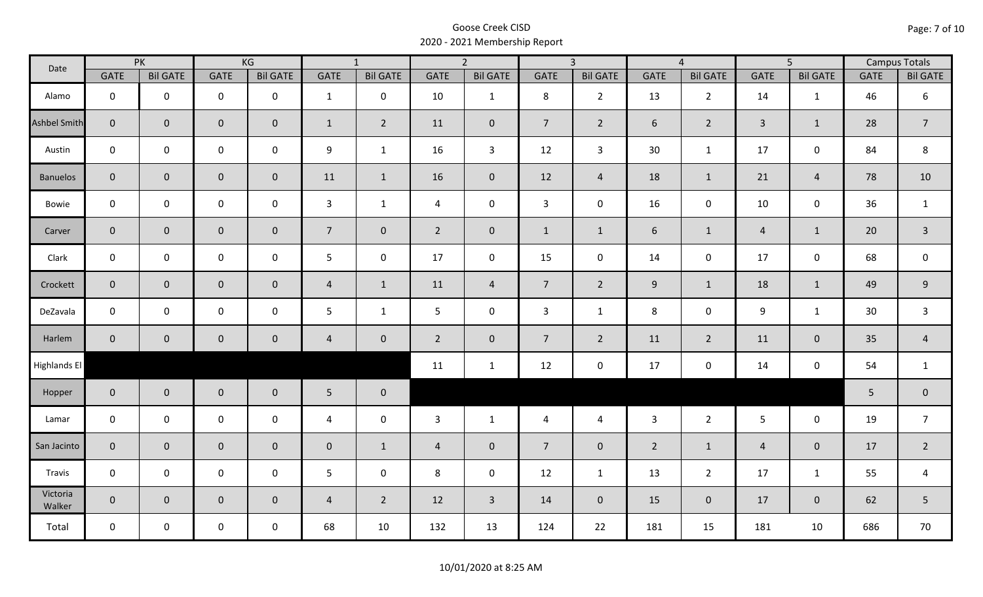| Date                | PK             |                     | KG                  |                 | $\overline{1}$  |                 | $\overline{2}$ |                 | $\overline{3}$ |                 | $\overline{4}$ |                 | $\overline{5}$ |                 | <b>Campus Totals</b> |                  |
|---------------------|----------------|---------------------|---------------------|-----------------|-----------------|-----------------|----------------|-----------------|----------------|-----------------|----------------|-----------------|----------------|-----------------|----------------------|------------------|
|                     | GATE           | <b>Bil GATE</b>     | <b>GATE</b>         | <b>Bil GATE</b> | GATE            | <b>Bil GATE</b> | <b>GATE</b>    | <b>Bil GATE</b> | <b>GATE</b>    | <b>Bil GATE</b> | <b>GATE</b>    | <b>Bil GATE</b> | <b>GATE</b>    | <b>Bil GATE</b> | <b>GATE</b>          | <b>Bil GATE</b>  |
| Alamo               | $\mathbf 0$    | $\mathbf 0$         | $\mathbf 0$         | $\mathbf 0$     | $\mathbf{1}$    | $\mathbf 0$     | 10             | $\mathbf{1}$    | 8              | $2^{\circ}$     | 13             | $\overline{2}$  | 14             | 1               | 46                   | 6                |
| <b>Ashbel Smith</b> | $\mathbf{0}$   | $\mathbf 0$         | $\mathbf 0$         | $\mathbf{0}$    | $\mathbf{1}$    | $\overline{2}$  | 11             | $\mathbf{0}$    | $\overline{7}$ | $\overline{2}$  | 6              | $\overline{2}$  | $\overline{3}$ | $\mathbf{1}$    | 28                   | $\overline{7}$   |
| Austin              | $\mathbf 0$    | $\mathbf 0$         | $\mathbf 0$         | $\mathbf 0$     | 9               | $\mathbf{1}$    | 16             | $\overline{3}$  | 12             | $\mathbf{3}$    | 30             | $\mathbf{1}$    | 17             | $\mathbf 0$     | 84                   | 8                |
| <b>Banuelos</b>     | $\overline{0}$ | $\mathbf 0$         | $\mathbf 0$         | $\overline{0}$  | 11              | $\mathbf{1}$    | 16             | $\mathbf{0}$    | 12             | $\overline{4}$  | 18             | $\mathbf{1}$    | 21             | $\overline{4}$  | 78                   | 10               |
| Bowie               | $\mathbf 0$    | $\mathbf 0$         | $\mathsf 0$         | $\mathbf 0$     | $\mathbf{3}$    | $\mathbf{1}$    | $\overline{4}$ | $\mathbf 0$     | $\mathbf{3}$   | $\mathbf 0$     | 16             | $\mathbf 0$     | 10             | $\mathbf 0$     | 36                   | $\mathbf{1}$     |
| Carver              | $\overline{0}$ | $\mathbf{0}$        | $\mathbf 0$         | $\overline{0}$  | 7 <sup>7</sup>  | $\overline{0}$  | $2^{\circ}$    | $\mathbf{0}$    | $\mathbf{1}$   | $\mathbf{1}$    | 6              | $\mathbf{1}$    | $\overline{4}$ | $\mathbf{1}$    | 20                   | $\overline{3}$   |
| Clark               | $\mathbf 0$    | $\mathbf 0$         | $\mathbf 0$         | $\mathbf 0$     | 5               | $\mathbf 0$     | 17             | $\mathbf 0$     | 15             | $\mathbf 0$     | 14             | $\mathbf 0$     | 17             | $\mathbf 0$     | 68                   | $\mathbf 0$      |
| Crockett            | $\overline{0}$ | $\mathbf 0$         | $\mathbf 0$         | $\overline{0}$  | $\overline{4}$  | $\mathbf{1}$    | 11             | $\overline{4}$  | 7 <sup>7</sup> | $2^{\circ}$     | $9\,$          | $\mathbf{1}$    | 18             | $\mathbf{1}$    | 49                   | $\boldsymbol{9}$ |
| DeZavala            | $\mathbf 0$    | $\mathbf 0$         | $\mathsf 0$         | $\mathbf 0$     | 5               | $\mathbf{1}$    | 5              | $\mathbf 0$     | 3              | $\mathbf{1}$    | 8              | $\mathbf 0$     | 9              | $\mathbf{1}$    | 30                   | $\mathsf{3}$     |
| Harlem              | $\overline{0}$ | $\mathsf{O}\xspace$ | $\pmb{0}$           | $\mathbf 0$     | $\overline{4}$  | $\mathbf 0$     | $2^{\circ}$    | $\mathbf 0$     | $\overline{7}$ | $\overline{2}$  | 11             | $\overline{2}$  | 11             | $\pmb{0}$       | 35                   | $\overline{4}$   |
| Highlands El        |                |                     |                     |                 |                 |                 | 11             | $\mathbf{1}$    | 12             | $\mathbf 0$     | 17             | 0               | 14             | $\mathbf 0$     | 54                   | $\mathbf{1}$     |
| Hopper              | $\overline{0}$ | $\overline{0}$      | $\mathbf 0$         | $\overline{0}$  | $5\phantom{.0}$ | $\bf{0}$        |                |                 |                |                 |                |                 |                |                 | 5                    | $\pmb{0}$        |
| Lamar               | $\mathbf 0$    | $\mathbf 0$         | $\mathsf{O}\xspace$ | $\mathbf 0$     | $\overline{4}$  | $\mathbf 0$     | 3              | $\mathbf{1}$    | $\overline{4}$ | $\overline{4}$  | $\overline{3}$ | $2^{\circ}$     | $5\phantom{.}$ | $\mathbf 0$     | 19                   | $\overline{7}$   |
| San Jacinto         | $\mathbf 0$    | $\mathbf{0}$        | $\mathsf{O}\xspace$ | $\mathbf 0$     | $\pmb{0}$       | $\mathbf{1}$    | $\overline{4}$ | $\mathbf 0$     | $\overline{7}$ | $\mathbf 0$     | $\overline{2}$ | $\mathbf{1}$    | $\overline{4}$ | $\mathbf 0$     | 17                   | $\overline{2}$   |
| Travis              | $\mathbf 0$    | $\mathbf 0$         | $\mathsf{O}\xspace$ | $\mathbf 0$     | 5               | $\mathbf 0$     | 8              | $\mathbf 0$     | 12             | $\mathbf{1}$    | 13             | $\overline{2}$  | 17             | $\mathbf{1}$    | 55                   | $\overline{a}$   |
| Victoria<br>Walker  | $\overline{0}$ | $\overline{0}$      | $\mathbf 0$         | $\mathbf{0}$    | $\overline{4}$  | $\overline{2}$  | 12             | $\overline{3}$  | 14             | $\overline{0}$  | 15             | $\mathbf 0$     | 17             | $\overline{0}$  | 62                   | 5                |
| Total               | $\mathbf 0$    | $\mathbf 0$         | $\mathsf{O}$        | $\mathbf 0$     | 68              | 10              | 132            | 13              | 124            | 22              | 181            | 15              | 181            | 10              | 686                  | 70               |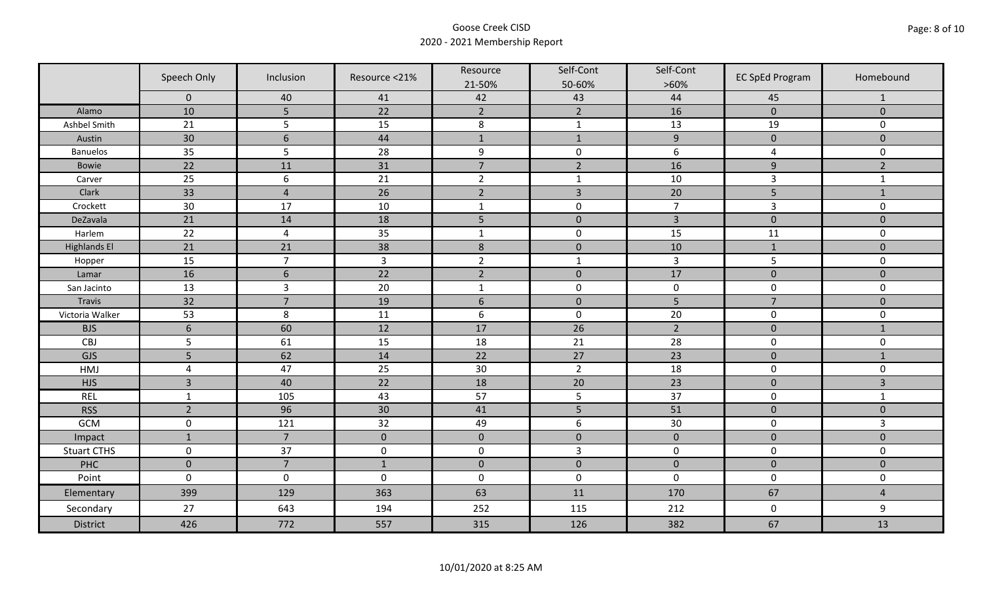|                     | Speech Only     | Inclusion        | Resource <21%       | Resource         | Self-Cont        | Self-Cont        | <b>EC SpEd Program</b> | Homebound        |
|---------------------|-----------------|------------------|---------------------|------------------|------------------|------------------|------------------------|------------------|
|                     | $\Omega$        |                  |                     | 21-50%<br>42     | 50-60%<br>43     | $>60\%$<br>44    |                        |                  |
| Alamo               | 10              | 40<br>5          | 41<br>22            | $\overline{2}$   | $\overline{2}$   | 16               | 45<br>$\mathbf 0$      | 1<br>$\mathbf 0$ |
| Ashbel Smith        | 21              | 5                | 15                  | $\,8\,$          | $\mathbf 1$      | 13               | 19                     | $\mathbf 0$      |
| Austin              | $30\,$          | $6\phantom{1}6$  | 44                  | $\mathbf{1}$     | $\mathbf{1}$     | $\boldsymbol{9}$ | $\pmb{0}$              | $\overline{0}$   |
| <b>Banuelos</b>     | 35              | 5                | 28                  | $\boldsymbol{9}$ | $\pmb{0}$        | $\boldsymbol{6}$ | 4                      | $\mathbf 0$      |
| Bowie               | 22              | 11               | 31                  | $\overline{7}$   | $\overline{2}$   | 16               | $9\,$                  | $\overline{2}$   |
| Carver              | 25              | $\boldsymbol{6}$ | 21                  | $\overline{2}$   | $\mathbf 1$      | 10               | $\overline{3}$         | $\mathbf{1}$     |
| Clark               | 33              | $\overline{4}$   | 26                  | $\overline{2}$   | $\overline{3}$   | 20               | 5                      | $\mathbf{1}$     |
| Crockett            | 30              | 17               | 10                  | $\mathbf 1$      | $\pmb{0}$        | $\overline{7}$   | $\overline{3}$         | $\mathbf 0$      |
| DeZavala            | 21              | 14               | 18                  | 5                | $\pmb{0}$        | $\overline{3}$   | $\mathbf 0$            | $\mathbf 0$      |
| Harlem              | 22              | $\overline{4}$   | 35                  | $\mathbf 1$      | $\pmb{0}$        | 15               | 11                     | 0                |
| <b>Highlands El</b> | 21              | 21               | 38                  | $\,$ 8 $\,$      | $\pmb{0}$        | 10               | $\mathbf{1}$           | $\mathbf 0$      |
| Hopper              | 15              | $\overline{7}$   | $\overline{3}$      | $\overline{2}$   | $\mathbf{1}$     | $\overline{3}$   | 5                      | 0                |
| Lamar               | 16              | $6\,$            | $\overline{22}$     | $\overline{2}$   | $\mathbf 0$      | 17               | $\mathbf 0$            | $\mathbf 0$      |
| San Jacinto         | 13              | $\overline{3}$   | 20                  | $\mathbf{1}$     | $\pmb{0}$        | $\pmb{0}$        | $\pmb{0}$              | 0                |
| <b>Travis</b>       | 32              | $\overline{7}$   | 19                  | $\sqrt{6}$       | $\pmb{0}$        | 5                | $\overline{7}$         | $\overline{0}$   |
| Victoria Walker     | 53              | 8                | 11                  | $\boldsymbol{6}$ | $\pmb{0}$        | 20               | $\pmb{0}$              | 0                |
| <b>BJS</b>          | $6\phantom{1}6$ | 60               | 12                  | 17               | 26               | $\overline{2}$   | $\pmb{0}$              | $\mathbf{1}$     |
| <b>CBJ</b>          | 5               | 61               | 15                  | 18               | 21               | 28               | $\pmb{0}$              | 0                |
| GJS                 | 5               | 62               | 14                  | 22               | 27               | $\overline{23}$  | $\mathbf 0$            | $\mathbf{1}$     |
| HMJ                 | $\overline{4}$  | 47               | 25                  | 30               | $\overline{2}$   | 18               | $\pmb{0}$              | 0                |
| <b>HJS</b>          | $\overline{3}$  | 40               | 22                  | 18               | 20               | 23               | $\pmb{0}$              | 3                |
| <b>REL</b>          | $\mathbf{1}$    | 105              | 43                  | 57               | 5                | 37               | $\pmb{0}$              | $\mathbf{1}$     |
| <b>RSS</b>          | $\overline{2}$  | 96               | 30                  | 41               | 5                | 51               | $\pmb{0}$              | $\mathbf 0$      |
| GCM                 | $\pmb{0}$       | 121              | 32                  | 49               | $\boldsymbol{6}$ | 30               | $\pmb{0}$              | $\overline{3}$   |
| Impact              | $\mathbf{1}$    | $\overline{7}$   | $\mathbf{0}$        | $\mathbf 0$      | $\mathbf{0}$     | $\mathbf{0}$     | $\mathbf 0$            | $\mathbf{0}$     |
| <b>Stuart CTHS</b>  | $\mathsf 0$     | 37               | $\mathsf{O}\xspace$ | $\pmb{0}$        | $\overline{3}$   | $\pmb{0}$        | $\pmb{0}$              | 0                |
| PHC                 | $\mathbf 0$     | $\overline{7}$   | $\mathbf{1}$        | $\pmb{0}$        | $\pmb{0}$        | $\mathbf 0$      | $\mathbf 0$            | $\mathbf 0$      |
| Point               | $\mathbf 0$     | $\mathbf 0$      | $\mathbf 0$         | $\boldsymbol{0}$ | $\pmb{0}$        | $\mathbf 0$      | $\pmb{0}$              | 0                |
| Elementary          | 399             | 129              | 363                 | 63               | 11               | 170              | 67                     | $\overline{4}$   |
| Secondary           | 27              | 643              | 194                 | 252              | 115              | 212              | $\mathbf 0$            | 9                |
| <b>District</b>     | 426             | 772              | 557                 | 315              | 126              | 382              | 67                     | 13               |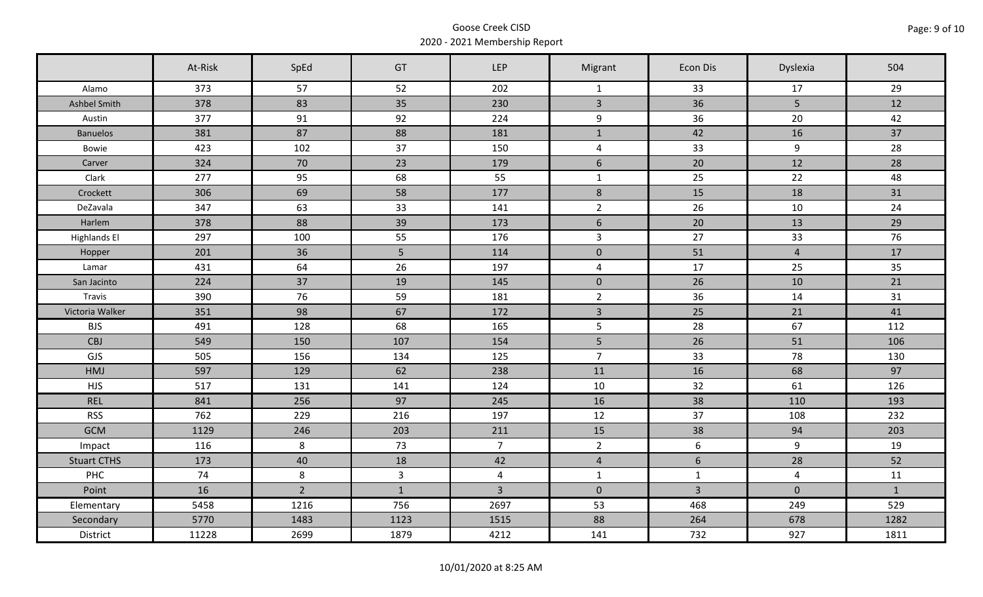|                     | At-Risk | SpEd           | GT           | <b>LEP</b>     | Migrant                 | Econ Dis        | Dyslexia        | 504          |
|---------------------|---------|----------------|--------------|----------------|-------------------------|-----------------|-----------------|--------------|
| Alamo               | 373     | 57             | 52           | 202            | $\mathbf{1}$            | 33              | 17              | 29           |
| Ashbel Smith        | 378     | 83             | 35           | 230            | $\overline{3}$          | 36              | $5\overline{)}$ | 12           |
| Austin              | 377     | 91             | 92           | 224            | 9                       | 36              | 20              | 42           |
| <b>Banuelos</b>     | 381     | 87             | 88           | 181            | $\mathbf{1}$            | 42              | 16              | 37           |
| Bowie               | 423     | 102            | 37           | 150            | $\overline{4}$          | 33              | 9               | 28           |
| Carver              | 324     | 70             | 23           | 179            | $6\phantom{a}$          | 20              | 12              | 28           |
| Clark               | 277     | 95             | 68           | 55             | $\mathbf{1}$            | 25              | 22              | 48           |
| Crockett            | 306     | 69             | 58           | 177            | $\,8\,$                 | 15              | 18              | 31           |
| DeZavala            | 347     | 63             | 33           | 141            | $\overline{2}$          | 26              | 10              | 24           |
| Harlem              | 378     | 88             | 39           | 173            | $6\,$                   | 20              | 13              | 29           |
| <b>Highlands El</b> | 297     | 100            | 55           | 176            | $\overline{3}$          | 27              | 33              | 76           |
| Hopper              | 201     | 36             | 5            | 114            | $\mathsf{O}\xspace$     | 51              | $\overline{4}$  | 17           |
| Lamar               | 431     | 64             | 26           | 197            | $\overline{\mathbf{4}}$ | 17              | 25              | 35           |
| San Jacinto         | 224     | 37             | 19           | 145            | $\overline{0}$          | 26              | 10              | 21           |
| Travis              | 390     | 76             | 59           | 181            | $\overline{2}$          | 36              | 14              | 31           |
| Victoria Walker     | 351     | 98             | 67           | 172            | $\overline{3}$          | 25              | 21              | 41           |
| <b>BJS</b>          | 491     | 128            | 68           | 165            | 5                       | 28              | 67              | 112          |
| <b>CBJ</b>          | 549     | 150            | 107          | 154            | 5 <sup>1</sup>          | 26              | 51              | 106          |
| GJS                 | 505     | 156            | 134          | 125            | $\overline{7}$          | 33              | 78              | 130          |
| HMJ                 | 597     | 129            | 62           | 238            | 11                      | 16              | 68              | 97           |
| <b>HJS</b>          | 517     | 131            | 141          | 124            | 10                      | 32              | 61              | 126          |
| <b>REL</b>          | 841     | 256            | 97           | 245            | 16                      | 38              | 110             | 193          |
| <b>RSS</b>          | 762     | 229            | 216          | 197            | 12                      | 37              | 108             | 232          |
| <b>GCM</b>          | 1129    | 246            | 203          | 211            | 15                      | 38              | 94              | 203          |
| Impact              | 116     | 8              | 73           | $\overline{7}$ | $\overline{2}$          | 6               | 9               | 19           |
| <b>Stuart CTHS</b>  | 173     | 40             | 18           | 42             | $\overline{4}$          | $6\overline{6}$ | 28              | 52           |
| PHC                 | 74      | 8              | $\mathbf{3}$ | $\overline{4}$ | $\mathbf{1}$            | $\mathbf{1}$    | $\overline{4}$  | 11           |
| Point               | 16      | $\overline{2}$ | $\mathbf{1}$ | $\overline{3}$ | $\overline{0}$          | $\overline{3}$  | $\mathbf 0$     | $\mathbf{1}$ |
| Elementary          | 5458    | 1216           | 756          | 2697           | 53                      | 468             | 249             | 529          |
| Secondary           | 5770    | 1483           | 1123         | 1515           | 88                      | 264             | 678             | 1282         |
| District            | 11228   | 2699           | 1879         | 4212           | 141                     | 732             | 927             | 1811         |